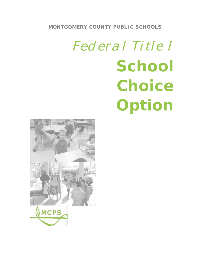

# **School Choice Option**

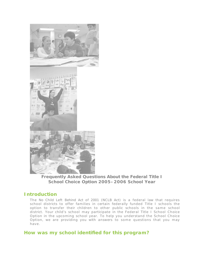

**Frequently Asked Questions About the Federal Title I School Choice Option 2005–2006 School Year**

# *Introduction*

The *No Child Left Behind Act of 2001* (NCLB Act) is a federal law that requires school districts to offer families in certain federally funded Title I schools the option to transfer their children to other public schools in the same school district. Your child's school may participate in the Federal Title I School Choice Option in the upcoming school year. To help you understand the School Choice Option, we are providing you with answers to some questions that you may have.

# *How was my school identified for this program?*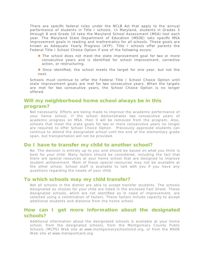There are specific federal rules under the NCLB Act that apply to the annual performance of students in Title I schools. In Maryland, students in Grades 3 through 8 and Grade 10 take the Maryland School Assessment (MSA) test each year. The Maryland State Department of Education (MSDE) sets specific MSA improvement goals in reading and mathematics for all schools. These goals are known as Adequate Yearly Progress (AYP). Title I schools offer parents the Federal Title I School Choice Option if one of the following occurs:

- $\blacksquare$  The school does not meet the state improvement goal for two or more consecutive years and is identified for school improvement, corrective action, or restructuring.
- **Once identified, the school meets the target for one year, but not the** next.

Schools must continue to offer the Federal Title I School Choice Option until state improvement goals are met for two consecutive years. When the targets are met for two consecutive years, the School Choice Option is no longer offered.

# *Will my neighborhood home school always be in this program?*

Not necessarily. Efforts are being made to improve the academic performance of your home school. If the school demonstrates two consecutive years of academic progress on MSA, then it will be removed from the program. Also, schools that meet the state goals for two or more consecutive years no longer are required to offer School Choice Option. Previously approved students can continue to attend the designated school until the end of the elementary grade span, but transportation will not be provided.

#### *Do I have to transfer my child to another school?*

No. The decision is entirely up to you and should be based on what you think is best for your child. Many factors should be considered, including the fact that there are special resources at your home school that are designed to improve student achievement. Most of these special resources may not be available at the other school. School staff is available to talk with you if you have any questions regarding the needs of your child.

#### *To which schools may my child transfer?*

Not all schools in the district are able to a ccept transfer students. The schools designated as choices for your child are listed in the enclosed Fact Sheet. These designated schools, which are not identified as in need of improvement, are selected using a combination of factors. These factors include capacity to accept additional students and distance from the home school.

### *How can I get more information about the designated schools?*

Additional information about the designated schools is available at your home school, from the designated schools, from the Montgomery County Public Schools (MCPS) Web site at www.montgom eryschoolsmd.org, or from the MSDE Web site at www.mdreportcard.org.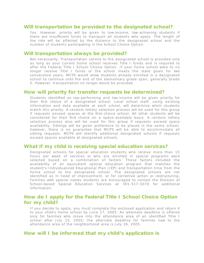#### *Will transportation be provided to the designated school?*

Yes. However, priority will be given to low-income, low-achieving students if there are insufficient funds to transport all students who apply. The length of the ride will be affected by the distance to the designated school and the number of students participating in the School Choice Option.

#### *Will transportation always be provided?*

Not necessarily. Transportation service to the designated school is provided only as long as your current home school receives Title I funds and is required to offer the Federal Title I School Choice Option. If your home school were to no longer receive Title I funds or the school meets the state goals for two consecutive years, MCPS would allow students already enrolled in a designated school to continue until the end of the elementary grade span, generally Grade 5. However, transportation no longer would be provided.

#### *How will priority for transfer requests be determined?*

Students identified as low-performing and low-income will be given priority for their first choice of a designated school. Local school staff, using existing information and data available at each school, will determine which students m atch this priority. A random lottery selection process will be used for this group if requests exceed spaces at the first-choice school. All other students will be considered for their first choice on a space-available basis. A random lottery selection process also will be used for this group if requests exceed space availability. Siblings will be given preference to be placed in the same school; however, there is no quarantee that MCPS will be able to accommodate all sibling requests. MCPS will identify additional designated schools if requests exceed spaces available at designated schools.

#### *What if my child is receiving special education services?*

Designated schools for special education students who receive more than 15 hours per week of services or who are enrolled in special programs were selected based on a combination of factors. These factors included the availability of an equivalent special education program that matches the student's Individualized Educational Plan (IEP) and transportation time from the home school to the designated school. The designated schools are not identified as in need of improvement, or for corrective action or restructuring. Families with special needs students are encouraged to contact the Division of School-based Special Education Services at 301-517-5070 for additional information.

## *How do I apply for the Federal Title I School Choice Option for my child?*

If you decide to apply, you must complete the enclosed application and return it to your child's home school by June 17, 2005. An alternate deadline is offered only for families who move into the attendance area of an identified Title I school after July 15, 2005; the alternate deadline for families new to the attendance area of the neighborhood area is July 16, 2005.

## *How will I be informed that my child's application is*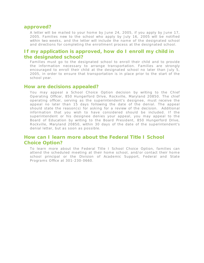#### *approved?*

A letter will be mailed to your home by June 24, 2005, if you apply by June 17, 2005. Families new to the school who apply by July 16, 2005 will be notified within two weeks, and the letter will include the name of the designated school and directions for completing the enrollment process at the designated school.

## *If my application is approved, how do I enroll my child in the designated school?*

Families must go to the designated school to enroll their child and to provide the information necessary to arrange transportation. Families are strongly encouraged to enroll their child at the designated school no later than July 5, 2005, in order to ensure that transportation is in place prior to the start of the school year.

#### *How are decisions appealed?*

You may appeal a School Choice Option decision by writing to the Chief Operating Officer, 850 Hungerford Drive, Rockville, Maryland 20850. The chief operating officer, serving as the superintendent's designee, must receive the app eal no later than 15 days following the date of the denial. The appeal should state the reason(s) for asking for a review of the decision. Additional information that you wish to have considered should be included. If the superintendent or his designee denies your appeal, you may appeal to the Board of Education by writing to the Board President, 850 Hungerford Drive, Rockville, Maryland 20850, within 30 days of the date of the superintendent's denial letter, but as soon as possible.

# *How can I learn more about the Federal Title I School Choice Option?*

To learn more about the Federal Title I School Choice Option, families can attend the scheduled meeting at their home school, and/or contact their home school principal or the Division of Academic Support, Federal and State Programs Office at 301-230-0660.